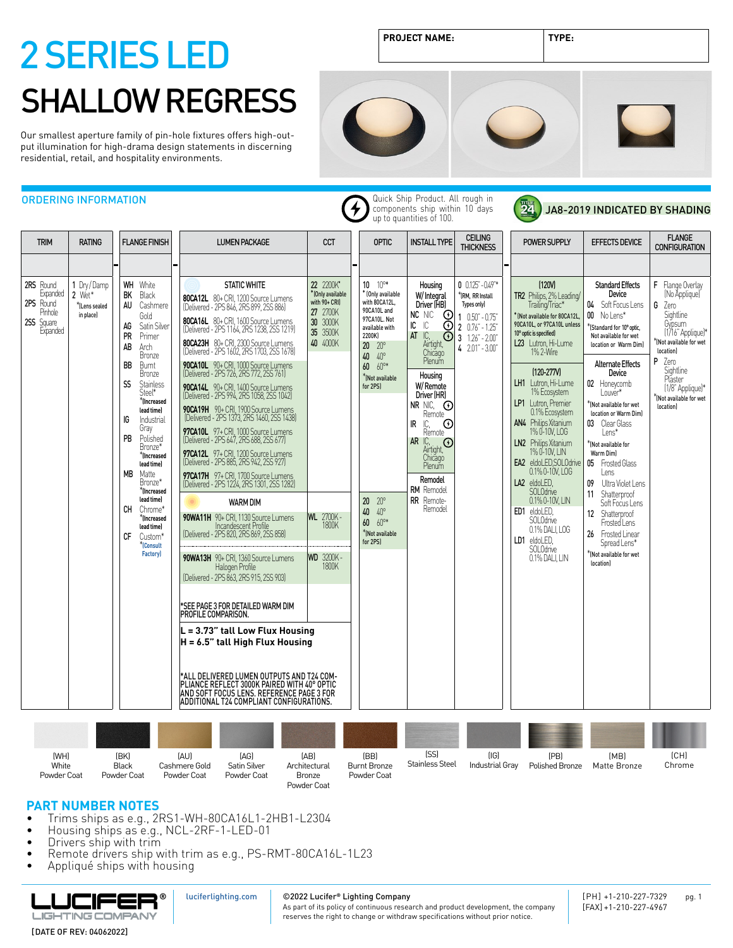Our smallest aperture family of pin-hole fixtures offers high-output illumination for high-drama design statements in discerning residential, retail, and hospitality environments.

ORDERING INFORMATION

**PROJECT NAME: TYPE:**



#### TRIM RATING FLANGE FINISH LUMEN PACKAGE CCT OPTIC INSTALL TYPE CLUME 2RS Round Expanded 2PS Round Pinhole **2SS** Square<br>Expanded 1 Dry / Damp 2 Wet\*\*(Lens sealed in place) WH BK AU AG PR AB BB SS IG PB MB CH CF White Black Cashmere Gold Satin Silver Primer Arch Bronze Burnt Bronze Stainless Steel\* \***(Increased lead time)** Industrial Gray Polished Bronze\* \***(Increased lead time)** Matte Bronze\* \***(Increased lead time)** Chrome\* \***(Increased lead time)** Custom\* STATIC WHITE **80CA12L** 80+ CRI, 1200 Source Lumens (Delivered - 2PS 846, 2RS 899, 2SS 886) **80CA16L** 80+ CRI, 1600 Source Lumens (Delivered - 2PS 1164, 2RS 1238, 2SS 1219) **80CA23H** 80+ CRI, 2300 Source Lumens (Delivered - 2PS 1602, 2RS 1703, 2SS 1678) **90CA10L** 90+ CRI, 1000 Source Lumens (Delivered - 2PS 726, 2RS 772, 2SS 761) **90CA14L** 90+ CRI, 1400 Source Lumens (Delivered - 2PS 994, 2RS 1058, 2SS 1042) **90CA19H** 90+ CRI, 1900 Source Lumens (Delivered - 2PS 1373, 2RS 1460, 2SS 1438) **97CA10L** 97+ CRI, 1000 Source Lumens (Delivered - 2PS 647, 2RS 688, 2SS 677) **97CA12L** 97+ CRI, 1200 Source Lumens (Delivered - 2PS 885, 2RS 942, 2SS 927) **97CA17H** 97+ CRI, 1700 Source Lumens (Delivered - 2PS 1224, 2RS 1301, 2SS 1282) 22 2200K**\*** \*(Only available with 90+ CRI) 27 2700K 30 3000K 35 3500K 40 4000K 10 10°\* \* (Only available with 80CA12L, 90CA10L and 97CA10L. Not available with 2200K) 20 20° 40 40° 60 60°\* \*(Not available for 2PS) 20 20° 40 40° 60 60°\* \*(Not available Housing W/ Integral Driver (HB) NC NIC IC IC AT IC, Airtight,<br>Chicago<br>Plenum Housing W/ Remote Driver (HR) NR NIC, Remote IR IC, Remote AR IC, Airtight,<br>Chicago<br>Plenum Remodel RM Remodel **RR** Remote- Remodel  $0 \t0.125 - 0.49$  \* \*(RM, RR Install lypes only) 1 0.50" - 0.75" 2 0.76" - 1.25" 3 1.26" - 2.00" 4 2.01" - 3.00" WARM DIM **90WA11H** 90+ CRI, 1130 Source Lumens Incandescent Profile (Delivered - 2PS 820, 2RS 869, 2SS 858) WL 2700K - 1800K

Quick Ship Product. All rough in components ship within 10 days up to quantities of 100.



JA8-2019 INDICATED BY SHADING

| <b>TRIM</b>                                                             | <b>RATING</b>                                        | <b>FLANGE FINISH</b>                                                                                                                                                                                                                                                                                                                  | <b>LUMEN PACKAGE</b>                                                                                                                                                                                                                                                                                                                                                                                                                                                                                                                                                                                                                                                                                                                                                                                | <b>CCT</b>                                                                                                 | <b>OPTIC</b>                                                                                                                                                                                      | <b>INSTALL TYPE</b>                                                                                                                                                                                                                                                                                                    | <b>CEILING</b><br><b>THICKNESS</b>                                                                                                                            | <b>POWER SUPPLY</b>                                                                                                                                                                                                                                                                                                                                                                                                                                   | <b>EFFECTS DEVICE</b>                                                                                                                                                                                                                                                                                                                                                                               | <b>FLANGE</b><br><b>CONFIGURATION</b>                                                                                                                                                                                          |
|-------------------------------------------------------------------------|------------------------------------------------------|---------------------------------------------------------------------------------------------------------------------------------------------------------------------------------------------------------------------------------------------------------------------------------------------------------------------------------------|-----------------------------------------------------------------------------------------------------------------------------------------------------------------------------------------------------------------------------------------------------------------------------------------------------------------------------------------------------------------------------------------------------------------------------------------------------------------------------------------------------------------------------------------------------------------------------------------------------------------------------------------------------------------------------------------------------------------------------------------------------------------------------------------------------|------------------------------------------------------------------------------------------------------------|---------------------------------------------------------------------------------------------------------------------------------------------------------------------------------------------------|------------------------------------------------------------------------------------------------------------------------------------------------------------------------------------------------------------------------------------------------------------------------------------------------------------------------|---------------------------------------------------------------------------------------------------------------------------------------------------------------|-------------------------------------------------------------------------------------------------------------------------------------------------------------------------------------------------------------------------------------------------------------------------------------------------------------------------------------------------------------------------------------------------------------------------------------------------------|-----------------------------------------------------------------------------------------------------------------------------------------------------------------------------------------------------------------------------------------------------------------------------------------------------------------------------------------------------------------------------------------------------|--------------------------------------------------------------------------------------------------------------------------------------------------------------------------------------------------------------------------------|
|                                                                         |                                                      |                                                                                                                                                                                                                                                                                                                                       |                                                                                                                                                                                                                                                                                                                                                                                                                                                                                                                                                                                                                                                                                                                                                                                                     |                                                                                                            |                                                                                                                                                                                                   |                                                                                                                                                                                                                                                                                                                        |                                                                                                                                                               |                                                                                                                                                                                                                                                                                                                                                                                                                                                       |                                                                                                                                                                                                                                                                                                                                                                                                     |                                                                                                                                                                                                                                |
| 2RS Round<br>Expanded<br>2PS Round<br>Pinhole<br>2SS Square<br>Expanded | 1 Dry/Damp<br>$2$ Wet*<br>*ILens sealed<br>in place) | White<br>WH<br>BK<br>Black<br>AU<br>Cashmere<br>Gold<br>AG<br>Satin Silver<br>PR<br>Primer<br>AB<br>Arch<br><b>Bronze</b><br>BB<br>Burnt<br>Bronze<br><b>Stainless</b><br>SS<br>Steel*<br>$*$ (Increased<br>lead time)<br>IG<br>Industrial<br>Gray<br>PB<br>Polished<br>Bronze*<br>*Increased<br>lead time)<br>МB<br>Matte<br>Bronze* | <b>STATIC WHITE</b><br>80CA12L 80+ CRI, 1200 Source Lumens<br>[Delivered - 2PS 846, 2RS 899, 2SS 886]<br>80CA16L 80+ CRI, 1600 Source Lumens<br>[Delivered - 2PS 1164, 2RS 1238, 2SS 1219]<br>80CA23H 80+ CRI, 2300 Source Lumens<br>[Delivered - 2PS 1602, 2RS 1703, 2SS 1678]<br>90CA10L 90+ CRI, 1000 Source Lumens<br>(Delivered - 2PS 726, 2RS 772, 2SS 761)<br>90CA14L 90+ CRI, 1400 Source Lumens<br>(Delivered - 2PS 994, 2RS 1058, 2SS 1042)<br>90CA19H 90+ CRI, 1900 Source Lumens<br>[Delivered - 2PS 1373, 2RS 1460, 2SS 1438]<br>97CA10L 97+ CRI, 1000 Source Lumens<br>[Delivered - 2PS 647, 2RS 688, 2SS 677]<br>97CA12L 97+ CRI, 1200 Source Lumens<br>[Delivered - 2PS 885, 2RS 942, 2SS 927]<br>97CA17H 97+ CRI, 1700 Source Lumens<br>(Delivered - 2PS 1224, 2RS 1301, 2SS 1282) | 22 2200K*<br><sup>*</sup> (Only available<br>with 90+ CRI)<br>27 2700K<br>30 3000K<br>35 3500K<br>40 4000K | $10 - 10$ <sup>o*</sup><br>* (Only available<br>with 80CA12L,<br>90CA10L and<br>97CA10L. Not<br>available with<br>2200K)<br>$20 \t 20^{\circ}$<br>40 40°<br>60 60°*<br>*Mot available<br>for 2PS) | Housing<br>W/Integral<br>Driver (HB)<br>$_{\odot}$<br>NC NIC<br>ГC<br>IC.<br>ന<br>IC,<br>Airtight,<br>AT<br>$_{\odot}$<br>Chicago<br>Plenum<br>Housing<br>W/Remote<br>Driver (HR)<br>NR NIC, $\odot$<br>Remote<br>$\odot$<br>IC, C<br>Remote<br>IR<br>$AR$ IC,<br>$\odot$<br>Airtight,<br>Chicago<br>Plenum<br>Remodel | $0$ $0.125 - 0.49$ <sup>**</sup><br>*(RM, RR Install<br>Types only)<br>$10.50 - 0.75$<br>$20.76 - 1.25$<br>$3 \quad 1.26" - 2.00"$<br>$4$ $2.01$ " - $3.00$ " | (120V)<br>TR2 Philips, 2% Leading/<br>Trailing/Triac*<br>KNot available for 80CA12L,<br>90CA10L. or 97CA10L unless<br>10° optic is specified)<br>L23 Lutron, Hi-Lume<br>$1\%$ $2\text{-}\text{Wire}$<br>$(120 - 277V)$<br>LH1 Lutron, Hi-Lume<br>1% Ecosystem<br>LP1 Lutron, Premier<br>0.1% Ecosystem<br>AN4 Philips Xitanium<br>1% 0-10V, LOG<br>LN2 Philips Xitanium<br>1% 0-10V, LIN<br>EA2 eldoLED, SOLOdrive<br>0.1% 0-10V, LOG<br>LA2 eldoLED. | <b>Standard Effects</b><br>Device<br>04 Soft Focus Lens<br>00 No Lens*<br>*IStandard for 10° optic.<br>Not available for wet<br>location or Warm Diml<br><b>Alternate Effects</b><br>Device<br>02 Honeycomb<br>Louver*<br>KNot available for wet<br>location or Warm Diml<br>03 Clear Glass<br>l ens*<br>$*$ (Not available for<br>Warm Diml<br>05 Frosted Glass<br>Lens<br>09<br>Ultra Violet Lens | F Flange Overlay<br>(No Applique)<br>G<br>Zero<br>Sightline<br>Gypsum<br>(1/16" Applique)*<br>KNot available for wet<br>locationl<br>P Zero<br>Sightline<br>Plaster<br>(1/8" Applique)*<br>KNot available for wet<br>location] |
|                                                                         |                                                      | *Increased<br>lead time)<br>CH<br>Chrome*<br>$*$ (Increased<br>lead time)<br>CF<br>Custom*<br><sup>*</sup> (Consult<br><b>Factory</b>                                                                                                                                                                                                 | <b>WARM DIM</b><br>90WA11H 90+ CRI, 1130 Source Lumens<br>Incandescent Profile<br>[Delivered - 2PS 820, 2RS 869, 2SS 858]<br>90WA13H 90+ CRI, 1360 Source Lumens<br>Halogen Profile<br>[Delivered - 2PS 863, 2RS 915, 2SS 903]<br>*SEE PAGE 3 FOR DETAILED WARM DIM<br><b>PROFILE COMPARISON.</b><br>$L = 3.73$ " tall Low Flux Housing<br>$H = 6.5"$ tall High Flux Housing<br>*ALL DELIVERED LUMEN OUTPUTS AND T24 COM-<br>PLIANCE REFLECT 3000K PAIRED WITH 40° OPTIC<br>AND SOFT FOCUS LENS. REFERENCE PAGE 3 FOR<br>ADDITIONAL T24 COMPLIANT CONFIGURATIONS.                                                                                                                                                                                                                                   | <b>WL</b> 2700K -<br><b>WD</b><br>3200K-<br>1800K                                                          | $20 \t 20^{\circ}$<br>$40^{\circ}$<br>40<br>60 60°*<br>*(Not available<br>for 2PS)                                                                                                                | <b>RM</b> Remodel<br>RR Remote-<br>Remodel                                                                                                                                                                                                                                                                             |                                                                                                                                                               | SOLOdrive<br>0.1% 0-10V, LIN<br>ED1 eldoLED.<br>SOLOdrive<br>0.1% DALI, LOG<br>LD1 eldoLED,<br>SOLOdrive<br>0.1% DALI, LIN                                                                                                                                                                                                                                                                                                                            | Shatterproof<br>11<br>Soft Focus Lens<br>Shatterproof<br>12<br>Frosted Lens<br>26 Frosted Linear<br>Spread Lens*<br>*(Not available for wet<br>location)                                                                                                                                                                                                                                            |                                                                                                                                                                                                                                |
|                                                                         |                                                      |                                                                                                                                                                                                                                                                                                                                       |                                                                                                                                                                                                                                                                                                                                                                                                                                                                                                                                                                                                                                                                                                                                                                                                     |                                                                                                            |                                                                                                                                                                                                   |                                                                                                                                                                                                                                                                                                                        |                                                                                                                                                               |                                                                                                                                                                                                                                                                                                                                                                                                                                                       |                                                                                                                                                                                                                                                                                                                                                                                                     |                                                                                                                                                                                                                                |
| (WH)<br>White                                                           |                                                      | (BK)<br>Black                                                                                                                                                                                                                                                                                                                         | [AU]<br>[AG]<br>Cashmere Gold<br>Satin Silver                                                                                                                                                                                                                                                                                                                                                                                                                                                                                                                                                                                                                                                                                                                                                       | [AB]<br>Architectural                                                                                      | (BB)<br><b>Burnt Bronze</b>                                                                                                                                                                       | (SS)<br>Stainless Steel                                                                                                                                                                                                                                                                                                | [ G]<br>Industrial Gray                                                                                                                                       | (PB)<br>Polished Bronze                                                                                                                                                                                                                                                                                                                                                                                                                               | (MB)<br>Matte Bronze                                                                                                                                                                                                                                                                                                                                                                                | [CH]<br>Chrome                                                                                                                                                                                                                 |

4

### **PART NUMBER NOTES**

Powder Coat

• Trims ships as e.g., 2RS1-WH-80CA16L1-2HB1-L2304

Powder Coat

- Housing ships as e.g., NCL-2RF-1-LED-01
- Drivers ship with trim
- Remote drivers ship with trim as e.g., PS-RMT-80CA16L-1L23

[luciferlighting.com](http://luciferlighting.com/)

Powder Coat

Bronze Powder Coat

• Appliqué ships with housing

Powder Coat



#### ©2022 Lucifer**®** Lighting Company

Powder Coat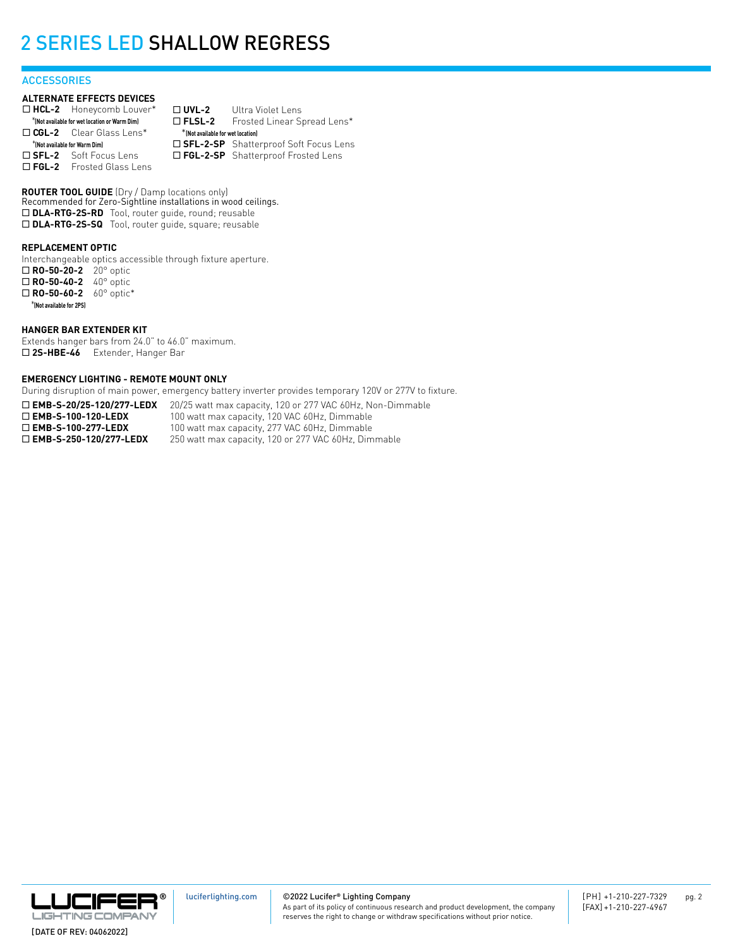#### **ACCESSORIES**

#### **ALTERNATE EFFECTS DEVICES**

| $\Box$ HCL-2 Honeycomb Louver*                | $\Box$ UVL-2                       | Ultra Violet Lens                       |
|-----------------------------------------------|------------------------------------|-----------------------------------------|
| *(Not available for wet location or Warm Dim) | $\square$ FLSL-2                   | Frosted Linear Spread Lens*             |
| $\Box$ CGL-2 Clear Glass Lens*                | * (Not available for wet location) |                                         |
| *(Not available for Warm Dim)                 |                                    | □ SFL-2-SP Shatterproof Soft Focus Lens |
| $\square$ SFL-2 Soft Focus Lens               |                                    | □ FGL-2-SP Shatterproof Frosted Lens    |
| $\Box$ FGL-2 Frosted Glass Lens               |                                    |                                         |

**ROUTER TOOL GUIDE** (Dry / Damp locations only) Recommended for Zero-Sightline installations in wood ceilings. □ DLA-RTG-2S-RD Tool, router guide, round; reusable □ DLA-RTG-2S-SQ Tool, router guide, square; reusable

#### **REPLACEMENT OPTIC**

Interchangeable optics accessible through fixture aperture. ¨ **RO-50-20-2** 20° optic □ **RO-50-40-2** 40° optic □ **RO-50-60-2** 60° optic\* \***(Not available for 2PS)**

#### **HANGER BAR EXTENDER KIT**

Extends hanger bars from 24.0" to 46.0" maximum. □ 2S-HBE-46 Extender, Hanger Bar

#### **EMERGENCY LIGHTING - REMOTE MOUNT ONLY**

During disruption of main power, emergency battery inverter provides temporary 120V or 277V to fixture.

□ **EMB-S-20/25-120/277-LEDX** 20/25 watt max capacity, 120 or 277 VAC 60Hz, Non-Dimmable **□ EMB-S-100-120-LEDX** 100 watt max capacity, 120 VAC 60Hz, Dimmable<br>□ **EMB-S-100-277-LEDX** 100 watt max capacity, 277 VAC 60Hz, Dimmable □ **EMB-S-100-277-LEDX** 100 watt max capacity, 277 VAC 60Hz, Dimmable<br>□ **EMB-S-250-120/277-LEDX** 250 watt max capacity, 120 or 277 VAC 60Hz, Dim 250 watt max capacity, 120 or 277 VAC 60Hz, Dimmable

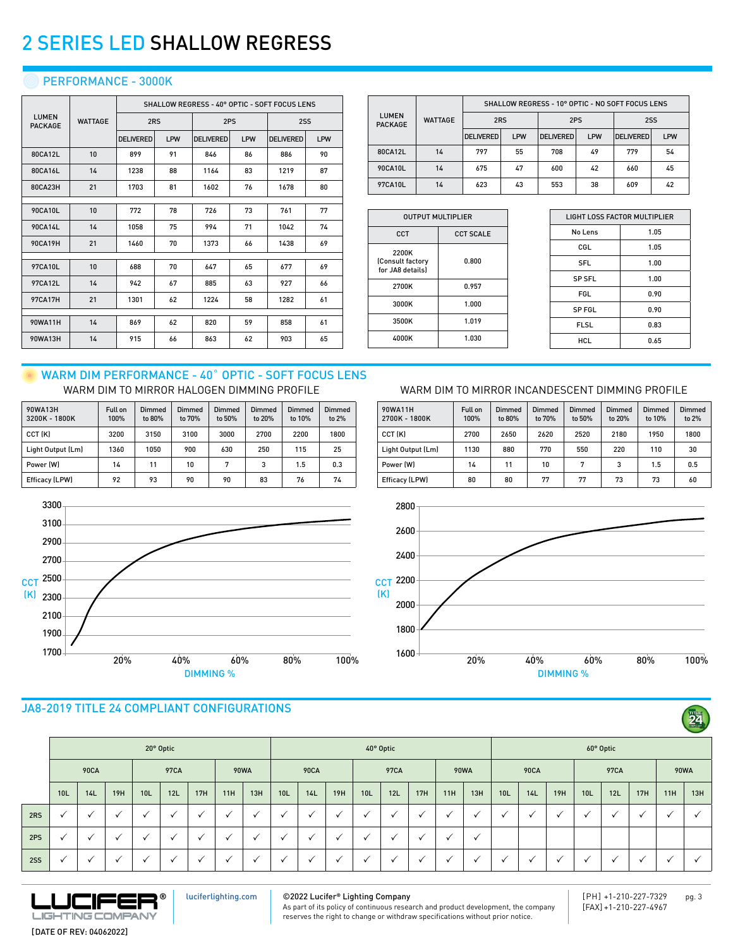## **C** PERFORMANCE - 3000K

|                         |                | SHALLOW REGRESS - 40° OPTIC - SOFT FOCUS LENS |     |                  |     |                  |     |  |  |  |  |  |
|-------------------------|----------------|-----------------------------------------------|-----|------------------|-----|------------------|-----|--|--|--|--|--|
| LUMEN<br><b>PACKAGE</b> | <b>WATTAGE</b> | 2RS                                           |     | 2PS              |     | 2SS              |     |  |  |  |  |  |
|                         |                | <b>DELIVERED</b>                              | LPW | <b>DELIVERED</b> | LPW | <b>DELIVERED</b> | LPW |  |  |  |  |  |
| 80CA12L                 | 10             | 899                                           | 91  | 846              | 86  | 886              | 90  |  |  |  |  |  |
| 80CA16L                 | 14             | 1238                                          | 88  | 1164             | 83  | 1219             | 87  |  |  |  |  |  |
| 80CA23H                 | 21             | 1703                                          | 81  | 1602             | 76  | 1678             | 80  |  |  |  |  |  |
|                         |                |                                               |     |                  |     |                  |     |  |  |  |  |  |
| 90CA10L                 | 10             | 772                                           | 78  | 726              | 73  | 761              | 77  |  |  |  |  |  |
| 90CA14L                 | 14             | 1058                                          | 75  | 994              | 71  | 1042             | 74  |  |  |  |  |  |
| 90CA19H                 | 21             | 1460                                          | 70  | 1373             | 66  | 1438             | 69  |  |  |  |  |  |
|                         |                |                                               |     |                  |     |                  |     |  |  |  |  |  |
| 97CA10L                 | 10             | 688                                           | 70  | 647              | 65  | 677              | 69  |  |  |  |  |  |
| 97CA12L                 | 14             | 942                                           | 67  | 885              | 63  | 927              | 66  |  |  |  |  |  |
| <b>97CA17H</b>          | 21             | 1301                                          | 62  | 1224             | 58  | 1282             | 61  |  |  |  |  |  |
|                         |                |                                               |     |                  |     |                  |     |  |  |  |  |  |
| 90WA11H                 | 14             | 869                                           | 62  | 820              | 59  | 858              | 61  |  |  |  |  |  |
| 90WA13H                 | 14             | 915                                           | 66  | 863              | 62  | 903              | 65  |  |  |  |  |  |

|                                |                | SHALLOW REGRESS - 10° OPTIC - NO SOFT FOCUS LENS |     |                  |     |                  |     |  |  |  |  |  |  |
|--------------------------------|----------------|--------------------------------------------------|-----|------------------|-----|------------------|-----|--|--|--|--|--|--|
| <b>LUMEN</b><br><b>PACKAGE</b> | <b>WATTAGE</b> | 2RS                                              |     | 2PS              |     | 2SS              |     |  |  |  |  |  |  |
|                                |                | <b>DELIVERED</b>                                 | LPW | <b>DELIVERED</b> | LPW | <b>DELIVERED</b> | LPW |  |  |  |  |  |  |
| 80CA12L                        | 14             | 797                                              | 55  | 708              | 49  | 779              | 54  |  |  |  |  |  |  |
| 90CA10L                        | 14             | 675                                              | 47  | 600              | 42  | 660              | 45  |  |  |  |  |  |  |
| 97CA10L                        | 14             | 623                                              | 43  | 553              | 38  | 609              | 42  |  |  |  |  |  |  |

| <b>OUTPUT MULTIPLIER</b>                      |                  |  |  |  |  |  |  |  |
|-----------------------------------------------|------------------|--|--|--|--|--|--|--|
| CCT                                           | <b>CCT SCALE</b> |  |  |  |  |  |  |  |
| 2200K<br>(Consult factory<br>for JA8 details) | 0.800            |  |  |  |  |  |  |  |
| 2700K                                         | 0.957            |  |  |  |  |  |  |  |
| 3000K                                         | 1.000            |  |  |  |  |  |  |  |
| 3500K                                         | 1.019            |  |  |  |  |  |  |  |
| 4000K                                         | 1.030            |  |  |  |  |  |  |  |
|                                               |                  |  |  |  |  |  |  |  |

Full on 100%

Dimmed to 80%

Dimmed to 70%

CCT (K) 2700 2650 2620 2520 2180 1950 1800 Light Output (Lm) | 1130 | 880 | 770 | 550 | 220 | 110 | 30 Power (W) | 14 | 11 | 10 | 7 | 3 | 1.5 | 0.5 Efficacy (LPW) 80 80 77 77 73 73 60

Dimmed to 50%

90WA11H 2700K - 1800K

| LIGHT LOSS FACTOR MULTIPLIER |      |  |  |  |  |  |  |
|------------------------------|------|--|--|--|--|--|--|
| No Lens                      | 1.05 |  |  |  |  |  |  |
| CGL                          | 1.05 |  |  |  |  |  |  |
| <b>SFL</b>                   | 1.00 |  |  |  |  |  |  |
| <b>SP SFL</b>                | 1.00 |  |  |  |  |  |  |
| FGL                          | 0.90 |  |  |  |  |  |  |
| SP FGL                       | 0.90 |  |  |  |  |  |  |
| <b>FLSL</b>                  | 0.83 |  |  |  |  |  |  |
| HCL                          | 0.65 |  |  |  |  |  |  |
|                              |      |  |  |  |  |  |  |

Dimmed to 20%

Dimmed to 10%

Dimmed to 2%

### WARM DIM PERFORMANCE - 40° OPTIC - SOFT FOCUS LENS WARM DIM TO MIRROR HALOGEN DIMMING PROFILE WARM DIM TO MIRROR INCANDESCENT DIMMING PROFILE

| 90WA13H<br>3200K - 1800K | Full on<br>100% | Dimmed<br>to 80% | Dimmed<br>to 70% | Dimmed<br>to 50% | Dimmed<br>to 20% | Dimmed<br>to 10% | Dimmed<br>to 2% |
|--------------------------|-----------------|------------------|------------------|------------------|------------------|------------------|-----------------|
| CCT (K)                  | 3200            | 3150             | 3100             | 3000             | 2700             | 2200             | 1800            |
| Light Output (Lm)        | 1360            | 1050             | 900              | 630              | 250              | 115              | 25              |
| Power (W)                | 14              | 11               | 10               | 7                | 3                | 1.5              | 0.3             |
| Efficacy (LPW)           | 92              | 93               | 90               | 90               | 83               | 76               | 74              |



## JA8-2019 TITLE 24 COMPLIANT CONFIGURATIONS

|            |                 |              |              |                          |              |              |              |         |                    |                      |              |                          |         |              |              |              |              |             |              |                 |             |     |             | $\sim$ |
|------------|-----------------|--------------|--------------|--------------------------|--------------|--------------|--------------|---------|--------------------|----------------------|--------------|--------------------------|---------|--------------|--------------|--------------|--------------|-------------|--------------|-----------------|-------------|-----|-------------|--------|
|            | 20° Optic       |              |              |                          |              |              |              |         | $40^{\circ}$ Optic |                      |              |                          |         |              |              | 60° Optic    |              |             |              |                 |             |     |             |        |
|            |                 | <b>90CA</b>  |              |                          | 97CA         |              | <b>90WA</b>  |         |                    | <b>90CA</b>          |              |                          | 97CA    |              |              | <b>90WA</b>  |              | <b>90CA</b> |              |                 | <b>97CA</b> |     | <b>90WA</b> |        |
|            | 10 <sub>L</sub> | 14L          | 19H          | 10L                      | 12L          | 17H          | 11H          | 13H     | 10 <sub>L</sub>    | 14L                  | 19H          | 10L                      | 12L     | 17H          | 11H          | 13H          | 10L          | 14L         | 19H          | 10 <sub>L</sub> | 12L         | 17H | 11H         | 13H    |
| 2RS        | ✓               | $\checkmark$ | $\checkmark$ | $\overline{\phantom{a}}$ | $\checkmark$ | $\checkmark$ | $\checkmark$ | $\cdot$ | √                  | $\cdot$              | $\checkmark$ | $\checkmark$             | √       | $\checkmark$ | $\checkmark$ |              | $\checkmark$ |             | $\checkmark$ |                 |             |     |             |        |
| 2PS        | $\checkmark$    |              |              |                          | $\checkmark$ |              | $\checkmark$ |         | $\checkmark$       | $\cdot$              | $\checkmark$ | $\overline{\phantom{a}}$ | $\cdot$ | $\cdot$      | √            | $\checkmark$ |              |             |              |                 |             |     |             |        |
| <b>2SS</b> | $\checkmark$    |              |              |                          |              |              | $\checkmark$ |         | $\cdot$            | $\ddot{\phantom{0}}$ | $\checkmark$ |                          | $\cdot$ |              | $\checkmark$ |              |              |             |              |                 |             |     |             |        |



[luciferlighting.com](http://luciferlighting.com/)

### ©2022 Lucifer**®** Lighting Company

As part of its policy of continuous research and product development, the company reserves the right to change or withdraw specifications without prior notice.

2800  $1600 + 20\%$   $40\%$   $60\%$   $80\%$   $100\%$ 1800 2000 CCT 2200 2400 2600 (K)

DIMMING %

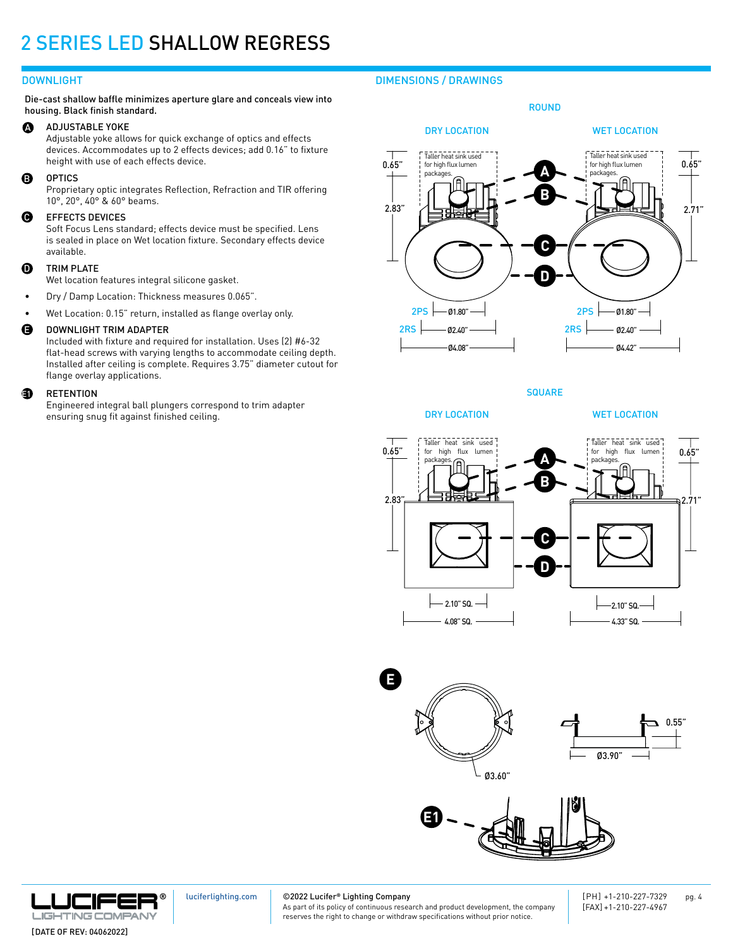Die-cast shallow baffle minimizes aperture glare and conceals view into housing. Black finish standard.

#### ADJUSTABLE YOKE  $\boldsymbol{\Omega}$

Adjustable yoke allows for quick exchange of optics and effects devices. Accommodates up to 2 effects devices; add 0.16" to fixture height with use of each effects device.

#### OPTICS

Proprietary optic integrates Reflection, Refraction and TIR offering 10°, 20°, 40° & 60° beams.

#### EFFECTS DEVICES Q

Soft Focus Lens standard; effects device must be specified. Lens is sealed in place on Wet location fixture. Secondary effects device available.

#### TRIM PLATE  $\bf{0}$

Wet location features integral silicone gasket.

- Dry / Damp Location: Thickness measures 0.065".
- Wet Location: 0.15" return, installed as flange overlay only.

#### DOWNLIGHT TRIM ADAPTER E

Included with fixture and required for installation. Uses (2) #6-32 flat-head screws with varying lengths to accommodate ceiling depth. Installed after ceiling is complete. Requires 3.75" diameter cutout for flange overlay applications.

#### **RETENTION a**

Engineered integral ball plungers correspond to trim adapter ensuring snug fit against finished ceiling.

## DOWNLIGHT DIMENSIONS / DRAWINGS



**SQUARE** 

WET LOCATION





DRY LOCATION







[luciferlighting.com](http://luciferlighting.com/)

©2022 Lucifer**®** Lighting Company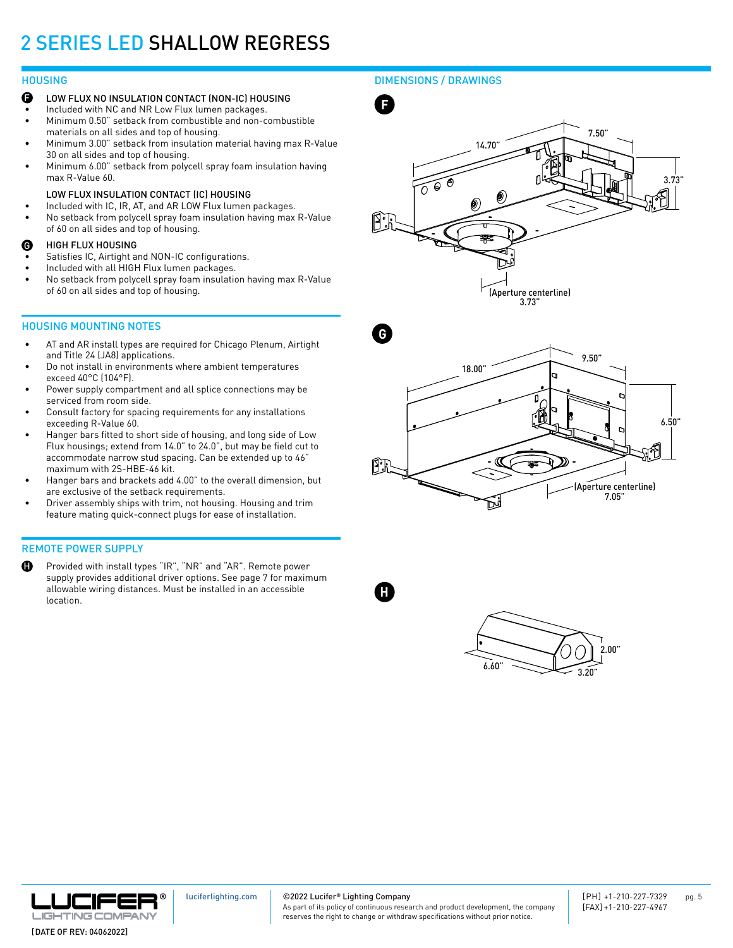#### **HOUSING**

- F LOW FLUX NO INSULATION CONTACT (NON-IC) HOUSING
- Included with NC and NR Low Flux lumen packages.
- Minimum 0.50" setback from combustible and non-combustible materials on all sides and top of housing.
- Minimum 3.00" setback from insulation material having max R-Value 30 on all sides and top of housing.
- Minimum 6.00" setback from polycell spray foam insulation having max R-Value 60.

#### LOW FLUX INSULATION CONTACT (IC) HOUSING

- Included with IC, IR, AT, and AR LOW Flux lumen packages.
- No setback from polycell spray foam insulation having max R-Value of 60 on all sides and top of housing.

#### HIGH FLUX HOUSING G

- Satisfies IC, Airtight and NON-IC configurations.
- Included with all HIGH Flux lumen packages.
- No setback from polycell spray foam insulation having max R-Value of 60 on all sides and top of housing.

#### HOUSING MOUNTING NOTES

- AT and AR install types are required for Chicago Plenum, Airtight and Title 24 (JA8) applications.
- Do not install in environments where ambient temperatures exceed 40°C (104°F).
- Power supply compartment and all splice connections may be serviced from room side.
- Consult factory for spacing requirements for any installations exceeding R-Value 60.
- Hanger bars fitted to short side of housing, and long side of Low Flux housings; extend from 14.0" to 24.0", but may be field cut to accommodate narrow stud spacing. Can be extended up to 46" maximum with 2S-HBE-46 kit.
- Hanger bars and brackets add 4.00" to the overall dimension, but are exclusive of the setback requirements.
- Driver assembly ships with trim, not housing. Housing and trim feature mating quick-connect plugs for ease of installation.

### REMOTE POWER SUPPLY

H Provided with install types "IR", "NR" and "AR". Remote power supply provides additional driver options. See page 7 for maximum allowable wiring distances. Must be installed in an accessible location.









6.660

 $6.60"$  3.20"

 $\sim$ 

2.00"



[luciferlighting.com](http://luciferlighting.com/)

©2022 Lucifer**®** Lighting Company

**H**

As part of its policy of continuous research and product development, the company reserves the right to change or withdraw specifications without prior notice.

[DATE OF REV: 04062022]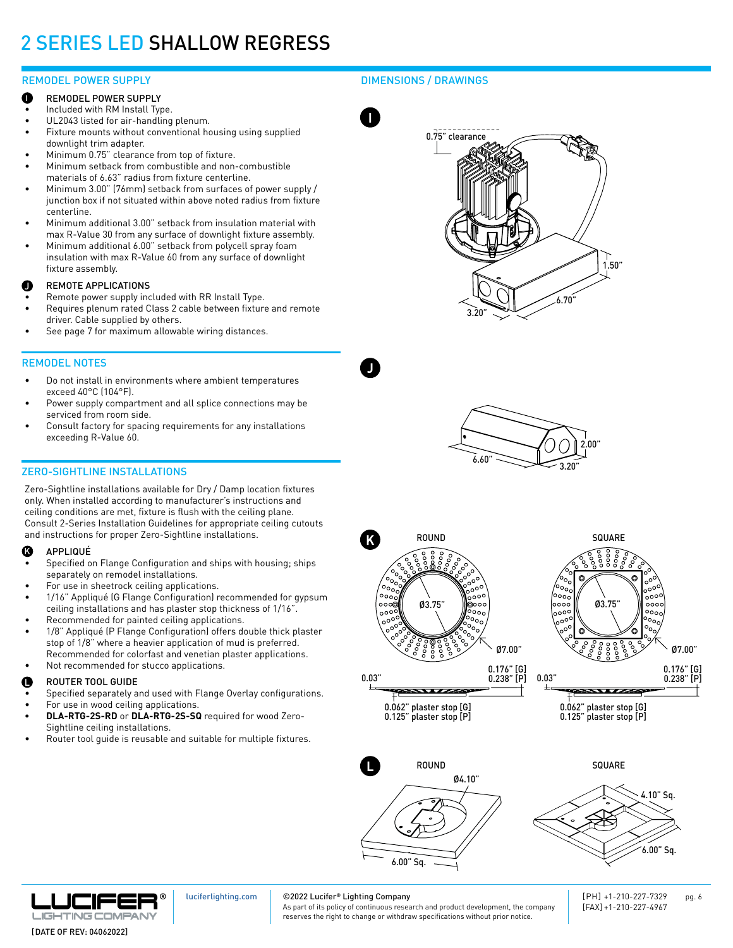### REMODEL POWER SUPPLY

- REMODEL POWER SUPPLY I
- Included with RM Install Type.
- UL2043 listed for air-handling plenum.
- Fixture mounts without conventional housing using supplied downlight trim adapter.
- Minimum 0.75" clearance from top of fixture.
- Minimum setback from combustible and non-combustible materials of 6.63" radius from fixture centerline.
- Minimum 3.00" (76mm) setback from surfaces of power supply / junction box if not situated within above noted radius from fixture centerline.
- Minimum additional 3.00" setback from insulation material with max R-Value 30 from any surface of downlight fixture assembly.
- Minimum additional 6.00" setback from polycell spray foam insulation with max R-Value 60 from any surface of downlight fixture assembly.

#### REMOTE APPLICATIONS J

- Remote power supply included with RR Install Type.
- Requires plenum rated Class 2 cable between fixture and remote driver. Cable supplied by others.
- See page 7 for maximum allowable wiring distances.

## REMODEL NOTES

- Do not install in environments where ambient temperatures exceed 40°C (104°F).
- Power supply compartment and all splice connections may be serviced from room side.
- Consult factory for spacing requirements for any installations exceeding R-Value 60.

## ZERO-SIGHTLINE INSTALLATIONS

Zero-Sightline installations available for Dry / Damp location fixtures only. When installed according to manufacturer's instructions and ceiling conditions are met, fixture is flush with the ceiling plane. Consult 2-Series Installation Guidelines for appropriate ceiling cutouts and instructions for proper Zero-Sightline installations.

#### APPLIQUÉ  $\bm{G}$

- Specified on Flange Configuration and ships with housing; ships separately on remodel installations.
- For use in sheetrock ceiling applications.
- 1/16" Appliqué (G Flange Configuration) recommended for gypsum ceiling installations and has plaster stop thickness of 1/16".
- Recommended for painted ceiling applications.
- 1/8" Appliqué (P Flange Configuration) offers double thick plaster stop of 1/8" where a heavier application of mud is preferred. Recommended for colorfast and venetian plaster applications.
- Not recommended for stucco applications.

### $\blacksquare$  ROUTER TOOL GUIDE  $\blacksquare$

- Specified separately and used with Flange Overlay configurations.
- For use in wood ceiling applications.
- **• DLA-RTG-2S-RD** or **DLA-RTG-2S-SQ** required for wood Zero-Sightline ceiling installations.
- Router tool quide is reusable and suitable for multiple fixtures.

## DIMENSIONS / DRAWINGS



**J**







0.062" plaster stop [G] 0.125" plaster stop [P]

 $\overline{\phantom{a}}$ 



0.062" plaster stop [G] 0.125" plaster stop [P]







[luciferlighting.com](http://luciferlighting.com/)

#### ©2022 Lucifer**®** Lighting Company

As part of its policy of continuous research and product development, the company reserves the right to change or withdraw specifications without prior notice.

[PH] +1-210-227-7329 pg. 6 [FAX] +1-210-227-4967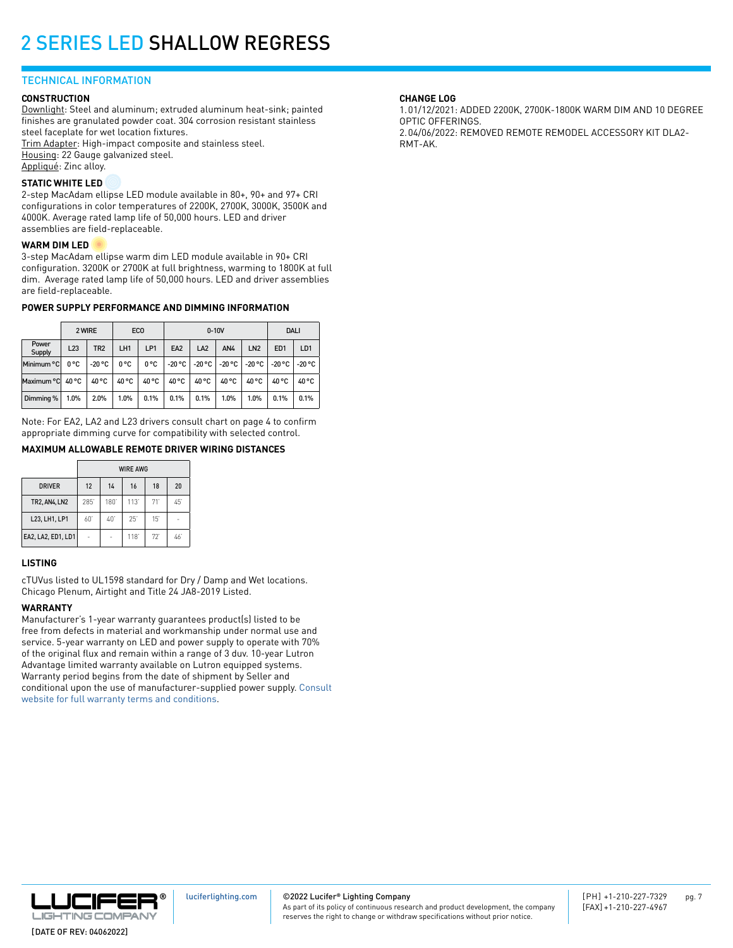#### TECHNICAL INFORMATION

#### **CONSTRUCTION**

Downlight: Steel and aluminum; extruded aluminum heat-sink; painted finishes are granulated powder coat. 304 corrosion resistant stainless steel faceplate for wet location fixtures.

Trim Adapter: High-impact composite and stainless steel. Housing: 22 Gauge galvanized steel. Appliqué: Zinc alloy.

#### **STATIC WHITE LED**

2-step MacAdam ellipse LED module available in 80+, 90+ and 97+ CRI configurations in color temperatures of 2200K, 2700K, 3000K, 3500K and 4000K. Average rated lamp life of 50,000 hours. LED and driver assemblies are field-replaceable.

#### **WARM DIM LED**

3-step MacAdam ellipse warm dim LED module available in 90+ CRI configuration. 3200K or 2700K at full brightness, warming to 1800K at full dim. Average rated lamp life of 50,000 hours. LED and driver assemblies are field-replaceable.

#### **POWER SUPPLY PERFORMANCE AND DIMMING INFORMATION**

|                 | 2 WIRE |                 | ECO           |       |                 | $0 - 10V$ | <b>DALI</b>            |                 |                 |                 |
|-----------------|--------|-----------------|---------------|-------|-----------------|-----------|------------------------|-----------------|-----------------|-----------------|
| Power<br>Supply | L23    | TR <sub>2</sub> | LH1           | LP1   | EA <sub>2</sub> | LA2       | AN4                    | LN <sub>2</sub> | ED <sub>1</sub> | LD <sub>1</sub> |
| Minimum °C      | 0°C    | $-20 °C$        | $0^{\circ}$ C | 0°C   | $-20 °C$        | $-20 °C$  | $\vert$ -20 °C $\vert$ | -20 °C          | $-20 °C$        | -20 °C          |
| Maximum °C      | 40 °C  | 40 °C           | 40 °C         | 40 °C | 40 °C           | 40 °C     | 40 °C                  | 40 °C           | 40 °C           | 40 °C           |
| Dimming %       | 1.0%   | 2.0%            | 1.0%          | 0.1%  | 0.1%            | 0.1%      | 1.0%                   | 1.0%            | 0.1%            | 0.1%            |

Note: For EA2, LA2 and L23 drivers consult chart on page 4 to confirm appropriate dimming curve for compatibility with selected control.

#### **MAXIMUM ALLOWABLE REMOTE DRIVER WIRING DISTANCES**

|                    | <b>WIRE AWG</b> |     |      |     |    |  |  |  |  |  |  |
|--------------------|-----------------|-----|------|-----|----|--|--|--|--|--|--|
| <b>DRIVER</b>      | 12              | 14  | 16   | 18  | 20 |  |  |  |  |  |  |
| <b>TR2.AN4.LN2</b> | 285             | 180 | 113' | 71' | 45 |  |  |  |  |  |  |
| L23, LH1, LP1      | 60'             | 40  | 25'  | 15' |    |  |  |  |  |  |  |
| EA2, LA2, ED1, LD1 |                 |     | 118  | 72  | 46 |  |  |  |  |  |  |

#### **LISTING**

cTUVus listed to UL1598 standard for Dry / Damp and Wet locations. Chicago Plenum, Airtight and Title 24 JA8-2019 Listed.

#### **WARRANTY**

Manufacturer's 1-year warranty guarantees product(s) listed to be free from defects in material and workmanship under normal use and service. 5-year warranty on LED and power supply to operate with 70% of the original flux and remain within a range of 3 duv. 10-year Lutron Advantage limited warranty available on Lutron equipped systems. Warranty period begins from the date of shipment by Seller and conditional upon the use of manufacturer-supplied power supply. [Consult](https://luciferlighting.com/Warranty)  [website for full warranty terms and conditions](https://luciferlighting.com/Warranty).

#### **CHANGE LOG**

1.01/12/2021: ADDED 2200K, 2700K-1800K WARM DIM AND 10 DEGREE OPTIC OFFERINGS. 2.04/06/2022: REMOVED REMOTE REMODEL ACCESSORY KIT DLA2- RMT-AK.



©2022 Lucifer**®** Lighting Company